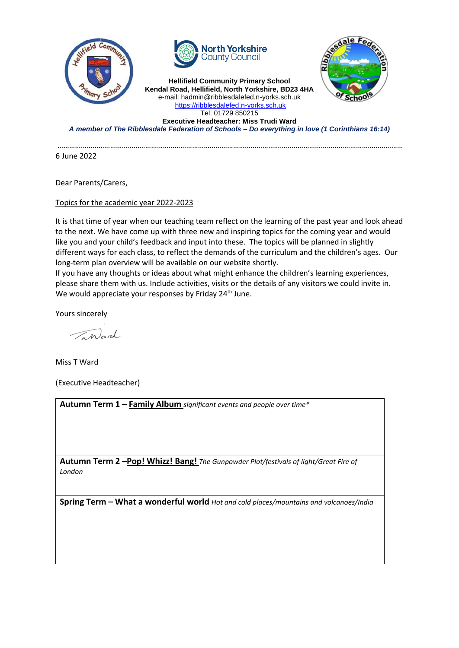



**Hellifield Community Primary School Kendal Road, Hellifield, North Yorkshire, BD23 4HA** e-mail: hadmin@ribblesdalefed.n-yorks.sch.uk [https://ribblesdalefed.n-yorks.sch.uk](https://ribblesdalefed.n-yorks.sch.uk/) Tel: 01729 850215



**Executive Headteacher: Miss Trudi Ward** *A member of The Ribblesdale Federation of Schools – Do everything in love (1 Corinthians 16:14)*

……………………………………………………………………………………………………………………………………………………………

6 June 2022

Dear Parents/Carers,

Topics for the academic year 2022-2023

It is that time of year when our teaching team reflect on the learning of the past year and look ahead to the next. We have come up with three new and inspiring topics for the coming year and would like you and your child's feedback and input into these. The topics will be planned in slightly different ways for each class, to reflect the demands of the curriculum and the children's ages. Our long-term plan overview will be available on our website shortly.

If you have any thoughts or ideas about what might enhance the children's learning experiences, please share them with us. Include activities, visits or the details of any visitors we could invite in. We would appreciate your responses by Friday  $24<sup>th</sup>$  June.

Yours sincerely

Inland

Miss T Ward

(Executive Headteacher)

**Autumn Term 1 – Family Album** *significant events and people over time\**

**Autumn Term 2 –Pop! Whizz! Bang!** *The Gunpowder Plot/festivals of light/Great Fire of London*

**Spring Term – What a wonderful world** *Hot and cold places/mountains and volcanoes/India*